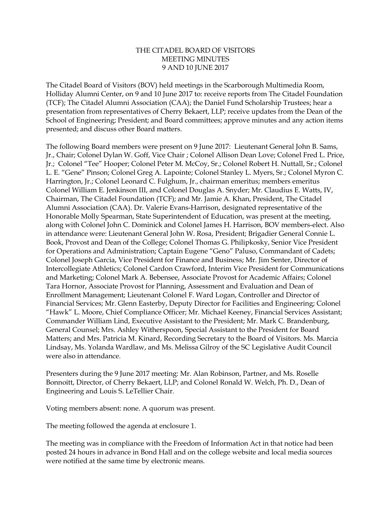## THE CITADEL BOARD OF VISITORS MEETING MINUTES 9 AND 10 JUNE 2017

The Citadel Board of Visitors (BOV) held meetings in the Scarborough Multimedia Room, Holliday Alumni Center, on 9 and 10 June 2017 to: receive reports from The Citadel Foundation (TCF); The Citadel Alumni Association (CAA); the Daniel Fund Scholarship Trustees; hear a presentation from representatives of Cherry Bekaert, LLP; receive updates from the Dean of the School of Engineering; President; and Board committees; approve minutes and any action items presented; and discuss other Board matters.

The following Board members were present on 9 June 2017: Lieutenant General John B. Sams, Jr., Chair; Colonel Dylan W. Goff, Vice Chair ; Colonel Allison Dean Love; Colonel Fred L. Price, Jr.; Colonel "Tee" Hooper; Colonel Peter M. McCoy, Sr.; Colonel Robert H. Nuttall, Sr.; Colonel L. E. "Gene" Pinson; Colonel Greg A. Lapointe; Colonel Stanley L. Myers, Sr.; Colonel Myron C. Harrington, Jr.; Colonel Leonard C. Fulghum, Jr., chairman emeritus; members emeritus Colonel William E. Jenkinson III, and Colonel Douglas A. Snyder; Mr. Claudius E. Watts, IV, Chairman, The Citadel Foundation (TCF); and Mr. Jamie A. Khan, President, The Citadel Alumni Association (CAA). Dr. Valerie Evans-Harrison, designated representative of the Honorable Molly Spearman, State Superintendent of Education, was present at the meeting, along with Colonel John C. Dominick and Colonel James H. Harrison, BOV members-elect. Also in attendance were: Lieutenant General John W. Rosa, President; Brigadier General Connie L. Book, Provost and Dean of the College; Colonel Thomas G. Philipkosky, Senior Vice President for Operations and Administration; Captain Eugene "Geno" Paluso, Commandant of Cadets; Colonel Joseph Garcia, Vice President for Finance and Business; Mr. Jim Senter, Director of Intercollegiate Athletics; Colonel Cardon Crawford, Interim Vice President for Communications and Marketing; Colonel Mark A. Bebensee, Associate Provost for Academic Affairs; Colonel Tara Hornor, Associate Provost for Planning, Assessment and Evaluation and Dean of Enrollment Management; Lieutenant Colonel F. Ward Logan, Controller and Director of Financial Services; Mr. Glenn Easterby, Deputy Director for Facilities and Engineering; Colonel "Hawk" L. Moore, Chief Compliance Officer; Mr. Michael Keeney, Financial Services Assistant; Commander William Lind, Executive Assistant to the President; Mr. Mark C. Brandenburg, General Counsel; Mrs. Ashley Witherspoon, Special Assistant to the President for Board Matters; and Mrs. Patricia M. Kinard, Recording Secretary to the Board of Visitors. Ms. Marcia Lindsay, Ms. Yolanda Wardlaw, and Ms. Melissa Gilroy of the SC Legislative Audit Council were also in attendance.

Presenters during the 9 June 2017 meeting: Mr. Alan Robinson, Partner, and Ms. Roselle Bonnoitt, Director, of Cherry Bekaert, LLP; and Colonel Ronald W. Welch, Ph. D., Dean of Engineering and Louis S. LeTellier Chair.

Voting members absent: none. A quorum was present.

The meeting followed the agenda at enclosure 1.

The meeting was in compliance with the Freedom of Information Act in that notice had been posted 24 hours in advance in Bond Hall and on the college website and local media sources were notified at the same time by electronic means.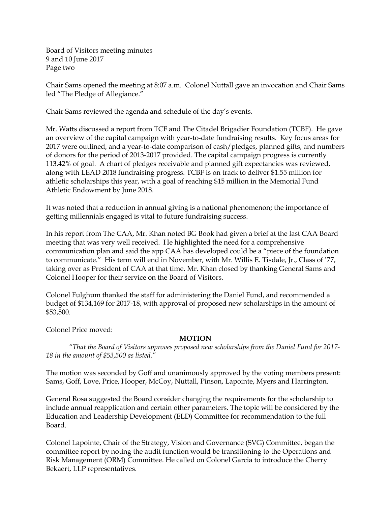Board of Visitors meeting minutes 9 and 10 June 2017 Page two

Chair Sams opened the meeting at 8:07 a.m. Colonel Nuttall gave an invocation and Chair Sams led "The Pledge of Allegiance."

Chair Sams reviewed the agenda and schedule of the day's events.

Mr. Watts discussed a report from TCF and The Citadel Brigadier Foundation (TCBF). He gave an overview of the capital campaign with year-to-date fundraising results. Key focus areas for 2017 were outlined, and a year-to-date comparison of cash/pledges, planned gifts, and numbers of donors for the period of 2013-2017 provided. The capital campaign progress is currently 113.42% of goal. A chart of pledges receivable and planned gift expectancies was reviewed, along with LEAD 2018 fundraising progress. TCBF is on track to deliver \$1.55 million for athletic scholarships this year, with a goal of reaching \$15 million in the Memorial Fund Athletic Endowment by June 2018.

It was noted that a reduction in annual giving is a national phenomenon; the importance of getting millennials engaged is vital to future fundraising success.

In his report from The CAA, Mr. Khan noted BG Book had given a brief at the last CAA Board meeting that was very well received. He highlighted the need for a comprehensive communication plan and said the app CAA has developed could be a "piece of the foundation to communicate." His term will end in November, with Mr. Willis E. Tisdale, Jr., Class of '77, taking over as President of CAA at that time. Mr. Khan closed by thanking General Sams and Colonel Hooper for their service on the Board of Visitors.

Colonel Fulghum thanked the staff for administering the Daniel Fund, and recommended a budget of \$134,169 for 2017-18, with approval of proposed new scholarships in the amount of \$53,500.

Colonel Price moved:

# **MOTION**

*"That the Board of Visitors approves proposed new scholarships from the Daniel Fund for 2017- 18 in the amount of \$53,500 as listed."*

The motion was seconded by Goff and unanimously approved by the voting members present: Sams, Goff, Love, Price, Hooper, McCoy, Nuttall, Pinson, Lapointe, Myers and Harrington.

General Rosa suggested the Board consider changing the requirements for the scholarship to include annual reapplication and certain other parameters. The topic will be considered by the Education and Leadership Development (ELD) Committee for recommendation to the full Board.

Colonel Lapointe, Chair of the Strategy, Vision and Governance (SVG) Committee, began the committee report by noting the audit function would be transitioning to the Operations and Risk Management (ORM) Committee. He called on Colonel Garcia to introduce the Cherry Bekaert, LLP representatives.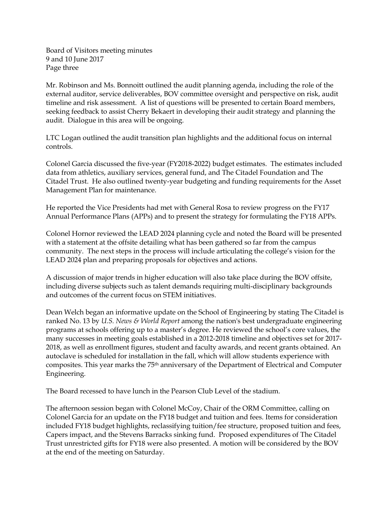Board of Visitors meeting minutes 9 and 10 June 2017 Page three

Mr. Robinson and Ms. Bonnoitt outlined the audit planning agenda, including the role of the external auditor, service deliverables, BOV committee oversight and perspective on risk, audit timeline and risk assessment. A list of questions will be presented to certain Board members, seeking feedback to assist Cherry Bekaert in developing their audit strategy and planning the audit. Dialogue in this area will be ongoing.

LTC Logan outlined the audit transition plan highlights and the additional focus on internal controls.

Colonel Garcia discussed the five-year (FY2018-2022) budget estimates. The estimates included data from athletics, auxiliary services, general fund, and The Citadel Foundation and The Citadel Trust. He also outlined twenty-year budgeting and funding requirements for the Asset Management Plan for maintenance.

He reported the Vice Presidents had met with General Rosa to review progress on the FY17 Annual Performance Plans (APPs) and to present the strategy for formulating the FY18 APPs.

Colonel Hornor reviewed the LEAD 2024 planning cycle and noted the Board will be presented with a statement at the offsite detailing what has been gathered so far from the campus community. The next steps in the process will include articulating the college's vision for the LEAD 2024 plan and preparing proposals for objectives and actions.

A discussion of major trends in higher education will also take place during the BOV offsite, including diverse subjects such as talent demands requiring multi-disciplinary backgrounds and outcomes of the current focus on STEM initiatives.

Dean Welch began an informative update on the School of Engineering by stating The Citadel is ranked No. 13 by *U.S. News & World Report* among the nation's best undergraduate engineering programs at schools offering up to a master's degree. He reviewed the school's core values, the many successes in meeting goals established in a 2012-2018 timeline and objectives set for 2017- 2018, as well as enrollment figures, student and faculty awards, and recent grants obtained. An autoclave is scheduled for installation in the fall, which will allow students experience with composites. This year marks the 75th anniversary of the Department of Electrical and Computer Engineering.

The Board recessed to have lunch in the Pearson Club Level of the stadium.

The afternoon session began with Colonel McCoy, Chair of the ORM Committee, calling on Colonel Garcia for an update on the FY18 budget and tuition and fees. Items for consideration included FY18 budget highlights, reclassifying tuition/fee structure, proposed tuition and fees, Capers impact, and the Stevens Barracks sinking fund. Proposed expenditures of The Citadel Trust unrestricted gifts for FY18 were also presented. A motion will be considered by the BOV at the end of the meeting on Saturday.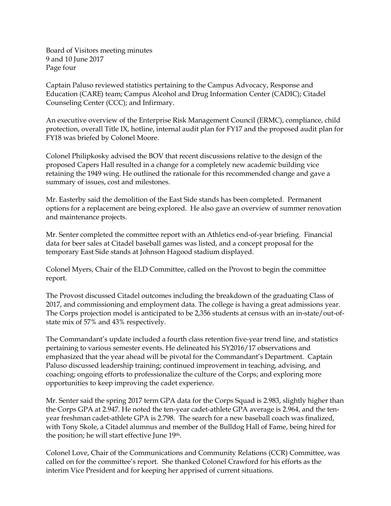Board of Visitors meeting minutes 9 and 10 June 2017 Page four

Captain Paluso reviewed statistics pertaining to the Campus Advocacy, Response and Education (CARE) team; Campus Alcohol and Drug Information Center (CADIC); Citadel Counseling Center (CCC); and Infirmary.

An executive overview of the Enterprise Risk Management Council (ERMC), compliance, child protection, overall Title IX, hotline, internal audit plan for FY17 and the proposed audit plan for FY18 was briefed by Colonel Moore.

Colonel Philipkosky advised the BOV that recent discussions relative to the design of the proposed Capers Hall resulted in a change for a completely new academic building vice retaining the 1949 wing. He outlined the rationale for this recommended change and gave a summary of issues, cost and milestones.

Mr. Easterby said the demolition of the East Side stands has been completed. Permanent options for a replacement are being explored. He also gave an overview of summer renovation and maintenance projects.

Mr. Senter completed the committee report with an Athletics end-of-year briefing. Financial data for beer sales at Citadel baseball games was listed, and a concept proposal for the temporary East Side stands at Johnson Hagood stadium displayed.

Colonel Myers, Chair of the ELD Committee, called on the Provost to begin the committee report.

The Provost discussed Citadel outcomes including the breakdown of the graduating Class of 2017, and commissioning and employment data. The college is having a great admissions year. The Corps projection model is anticipated to be 2,356 students at census with an in-state/out-ofstate mix of 57% and 43% respectively.

The Commandant's update included a fourth class retention five-year trend line, and statistics pertaining to various semester events. He delineated his SY2016/17 observations and emphasized that the year ahead will be pivotal for the Commandant's Department. Captain Paluso discussed leadership training; continued improvement in teaching, advising, and coaching; ongoing efforts to professionalize the culture of the Corps; and exploring more opportunities to keep improving the cadet experience.

Mr. Senter said the spring 2017 term GPA data for the Corps Squad is 2.983, slightly higher than the Corps GPA at 2.947. He noted the ten-year cadet-athlete GPA average is 2.964, and the tenyear freshman cadet-athlete GPA is 2.798. The search for a new baseball coach was finalized, with Tony Skole, a Citadel alumnus and member of the Bulldog Hall of Fame, being hired for the position; he will start effective June 19th.

Colonel Love, Chair of the Communications and Community Relations (CCR) Committee, was called on for the committee's report. She thanked Colonel Crawford for his efforts as the interim Vice President and for keeping her apprised of current situations.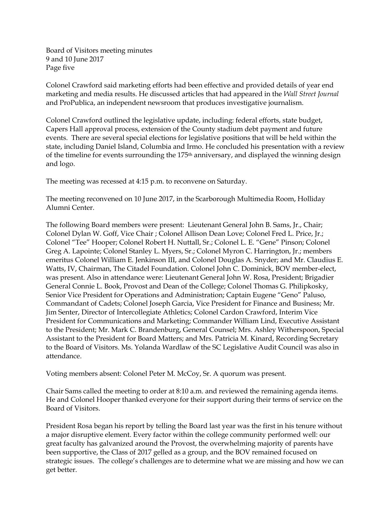Board of Visitors meeting minutes 9 and 10 June 2017 Page five

Colonel Crawford said marketing efforts had been effective and provided details of year end marketing and media results. He discussed articles that had appeared in the *Wall Street Journal* and ProPublica, an independent newsroom that produces investigative journalism.

Colonel Crawford outlined the legislative update, including: federal efforts, state budget, Capers Hall approval process, extension of the County stadium debt payment and future events. There are several special elections for legislative positions that will be held within the state, including Daniel Island, Columbia and Irmo. He concluded his presentation with a review of the timeline for events surrounding the 175th anniversary, and displayed the winning design and logo.

The meeting was recessed at 4:15 p.m. to reconvene on Saturday.

The meeting reconvened on 10 June 2017, in the Scarborough Multimedia Room, Holliday Alumni Center.

The following Board members were present: Lieutenant General John B. Sams, Jr., Chair; Colonel Dylan W. Goff, Vice Chair ; Colonel Allison Dean Love; Colonel Fred L. Price, Jr.; Colonel "Tee" Hooper; Colonel Robert H. Nuttall, Sr.; Colonel L. E. "Gene" Pinson; Colonel Greg A. Lapointe; Colonel Stanley L. Myers, Sr.; Colonel Myron C. Harrington, Jr.; members emeritus Colonel William E. Jenkinson III, and Colonel Douglas A. Snyder; and Mr. Claudius E. Watts, IV, Chairman, The Citadel Foundation. Colonel John C. Dominick, BOV member-elect, was present. Also in attendance were: Lieutenant General John W. Rosa, President; Brigadier General Connie L. Book, Provost and Dean of the College; Colonel Thomas G. Philipkosky, Senior Vice President for Operations and Administration; Captain Eugene "Geno" Paluso, Commandant of Cadets; Colonel Joseph Garcia, Vice President for Finance and Business; Mr. Jim Senter, Director of Intercollegiate Athletics; Colonel Cardon Crawford, Interim Vice President for Communications and Marketing; Commander William Lind, Executive Assistant to the President; Mr. Mark C. Brandenburg, General Counsel; Mrs. Ashley Witherspoon, Special Assistant to the President for Board Matters; and Mrs. Patricia M. Kinard, Recording Secretary to the Board of Visitors. Ms. Yolanda Wardlaw of the SC Legislative Audit Council was also in attendance.

Voting members absent: Colonel Peter M. McCoy, Sr. A quorum was present.

Chair Sams called the meeting to order at 8:10 a.m. and reviewed the remaining agenda items. He and Colonel Hooper thanked everyone for their support during their terms of service on the Board of Visitors.

President Rosa began his report by telling the Board last year was the first in his tenure without a major disruptive element. Every factor within the college community performed well: our great faculty has galvanized around the Provost, the overwhelming majority of parents have been supportive, the Class of 2017 gelled as a group, and the BOV remained focused on strategic issues. The college's challenges are to determine what we are missing and how we can get better.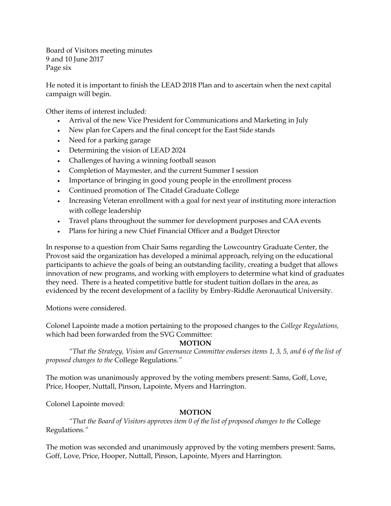Board of Visitors meeting minutes 9 and 10 June 2017 Page six

He noted it is important to finish the LEAD 2018 Plan and to ascertain when the next capital campaign will begin.

Other items of interest included:

- Arrival of the new Vice President for Communications and Marketing in July
- New plan for Capers and the final concept for the East Side stands
- Need for a parking garage
- Determining the vision of LEAD 2024
- Challenges of having a winning football season
- Completion of Maymester, and the current Summer I session
- Importance of bringing in good young people in the enrollment process
- Continued promotion of The Citadel Graduate College
- Increasing Veteran enrollment with a goal for next year of instituting more interaction with college leadership
- Travel plans throughout the summer for development purposes and CAA events
- Plans for hiring a new Chief Financial Officer and a Budget Director

In response to a question from Chair Sams regarding the Lowcountry Graduate Center, the Provost said the organization has developed a minimal approach, relying on the educational participants to achieve the goals of being an outstanding facility, creating a budget that allows innovation of new programs, and working with employers to determine what kind of graduates they need. There is a heated competitive battle for student tuition dollars in the area, as evidenced by the recent development of a facility by Embry-Riddle Aeronautical University.

Motions were considered.

Colonel Lapointe made a motion pertaining to the proposed changes to the *College Regulations,*  which had been forwarded from the SVG Committee:

# **MOTION**

*"That the Strategy, Vision and Governance Committee endorses items 1, 3, 5, and 6 of the list of proposed changes to the* College Regulations*."*

The motion was unanimously approved by the voting members present: Sams, Goff, Love, Price, Hooper, Nuttall, Pinson, Lapointe, Myers and Harrington.

Colonel Lapointe moved:

# **MOTION**

*"That the Board of Visitors approves item 0 of the list of proposed changes to the* College Regulations*."*

The motion was seconded and unanimously approved by the voting members present: Sams, Goff, Love, Price, Hooper, Nuttall, Pinson, Lapointe, Myers and Harrington.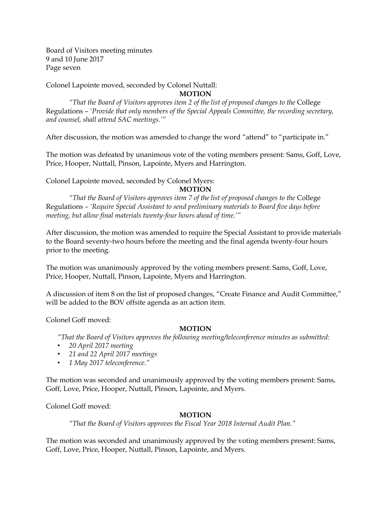Board of Visitors meeting minutes 9 and 10 June 2017 Page seven

Colonel Lapointe moved, seconded by Colonel Nuttall:

**MOTION** 

*"That the Board of Visitors approves item 2 of the list of proposed changes to the* College Regulations – *'Provide that only members of the Special Appeals Committee, the recording secretary, and counsel, shall attend SAC meetings.'"*

After discussion, the motion was amended to change the word "attend" to "participate in."

The motion was defeated by unanimous vote of the voting members present: Sams, Goff, Love, Price, Hooper, Nuttall, Pinson, Lapointe, Myers and Harrington.

Colonel Lapointe moved, seconded by Colonel Myers:

**MOTION** 

*"That the Board of Visitors approves item 7 of the list of proposed changes to the* College Regulations *– 'Require Special Assistant to send preliminary materials to Board five days before meeting, but allow final materials twenty-four hours ahead of time.'"*

After discussion, the motion was amended to require the Special Assistant to provide materials to the Board seventy-two hours before the meeting and the final agenda twenty-four hours prior to the meeting.

The motion was unanimously approved by the voting members present: Sams, Goff, Love, Price, Hooper, Nuttall, Pinson, Lapointe, Myers and Harrington.

A discussion of item 8 on the list of proposed changes, "Create Finance and Audit Committee," will be added to the BOV offsite agenda as an action item.

Colonel Goff moved:

# **MOTION**

*"That the Board of Visitors approves the following meeting/teleconference minutes as submitted:*

- *20 April 2017 meeting*
- *21 and 22 April 2017 meetings*
- *1 May 2017 teleconference."*

The motion was seconded and unanimously approved by the voting members present: Sams, Goff, Love, Price, Hooper, Nuttall, Pinson, Lapointe, and Myers.

Colonel Goff moved:

# **MOTION**

*"That the Board of Visitors approves the Fiscal Year 2018 Internal Audit Plan."*

The motion was seconded and unanimously approved by the voting members present: Sams, Goff, Love, Price, Hooper, Nuttall, Pinson, Lapointe, and Myers.